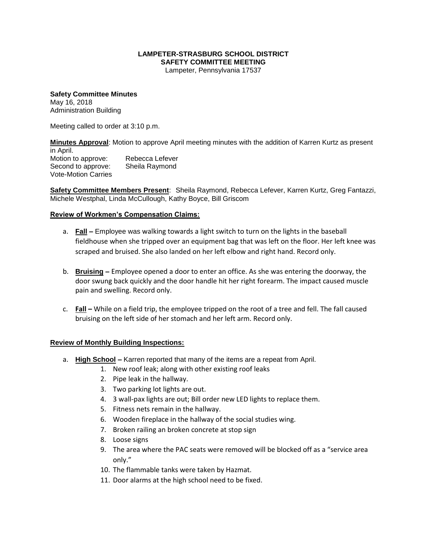## **LAMPETER-STRASBURG SCHOOL DISTRICT SAFETY COMMITTEE MEETING**

Lampeter, Pennsylvania 17537

**Safety Committee Minutes** May 16, 2018 Administration Building

Meeting called to order at 3:10 p.m.

**Minutes Approval**: Motion to approve April meeting minutes with the addition of Karren Kurtz as present in April.

Motion to approve: Rebecca Lefever Second to approve: Sheila Raymond Vote-Motion Carries

**Safety Committee Members Present**: Sheila Raymond, Rebecca Lefever, Karren Kurtz, Greg Fantazzi, Michele Westphal, Linda McCullough, Kathy Boyce, Bill Griscom

## **Review of Workmen's Compensation Claims:**

- a. **Fall –** Employee was walking towards a light switch to turn on the lights in the baseball fieldhouse when she tripped over an equipment bag that was left on the floor. Her left knee was scraped and bruised. She also landed on her left elbow and right hand. Record only.
- b. **Bruising –** Employee opened a door to enter an office. As she was entering the doorway, the door swung back quickly and the door handle hit her right forearm. The impact caused muscle pain and swelling. Record only.
- c. **Fall –** While on a field trip, the employee tripped on the root of a tree and fell. The fall caused bruising on the left side of her stomach and her left arm. Record only.

## **Review of Monthly Building Inspections:**

- a. **High School –** Karren reported that many of the items are a repeat from April.
	- 1. New roof leak; along with other existing roof leaks
	- 2. Pipe leak in the hallway.
	- 3. Two parking lot lights are out.
	- 4. 3 wall-pax lights are out; Bill order new LED lights to replace them.
	- 5. Fitness nets remain in the hallway.
	- 6. Wooden fireplace in the hallway of the social studies wing.
	- 7. Broken railing an broken concrete at stop sign
	- 8. Loose signs
	- 9. The area where the PAC seats were removed will be blocked off as a "service area only."
	- 10. The flammable tanks were taken by Hazmat.
	- 11. Door alarms at the high school need to be fixed.